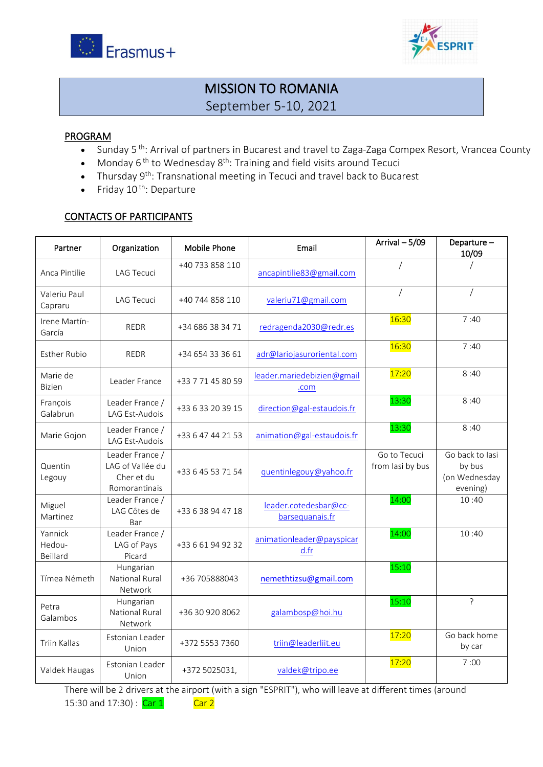



## MISSION TO ROMANIA September 5-10, 2021

#### PROGRAM

- Sunday 5<sup>th</sup>: Arrival of partners in Bucarest and travel to Zaga-Zaga Compex Resort, Vrancea County
- Monday  $6<sup>th</sup>$  to Wednesday  $8<sup>th</sup>$ : Training and field visits around Tecuci
- Thursday 9<sup>th</sup>: Transnational meeting in Tecuci and travel back to Bucarest
- $\bullet$  Friday 10<sup>th</sup>: Departure

### CONTACTS OF PARTICIPANTS

| Partner                       | Organization                                                       | Mobile Phone      | Email                                    | Arrival - 5/09                   | Departure-<br>10/09                                    |
|-------------------------------|--------------------------------------------------------------------|-------------------|------------------------------------------|----------------------------------|--------------------------------------------------------|
| Anca Pintilie                 | <b>LAG Tecuci</b>                                                  | +40 733 858 110   | ancapintilie83@gmail.com                 |                                  |                                                        |
| Valeriu Paul<br>Capraru       | <b>LAG Tecuci</b>                                                  | +40 744 858 110   | valeriu71@gmail.com                      |                                  |                                                        |
| Irene Martín-<br>García       | <b>REDR</b>                                                        | +34 686 38 34 71  | redragenda2030@redr.es                   | 16:30                            | 7:40                                                   |
| <b>Esther Rubio</b>           | <b>REDR</b>                                                        | +34 654 33 36 61  | adr@lariojasuroriental.com               | 16:30                            | 7:40                                                   |
| Marie de<br><b>Bizien</b>     | Leader France                                                      | +33 7 71 45 80 59 | leader.mariedebizien@gmail<br>.com       | 17:20                            | 8:40                                                   |
| François<br>Galabrun          | Leader France /<br>LAG Est-Audois                                  | +33 6 33 20 39 15 | direction@gal-estaudois.fr               | 13:30                            | 8:40                                                   |
| Marie Gojon                   | Leader France /<br>LAG Est-Audois                                  | +33 6 47 44 21 53 | animation@gal-estaudois.fr               | 13:30                            | 8:40                                                   |
| Quentin<br>Legouy             | Leader France /<br>LAG of Vallée du<br>Cher et du<br>Romorantinais | +33 6 45 53 71 54 | quentinlegouy@yahoo.fr                   | Go to Tecuci<br>from lasi by bus | Go back to lasi<br>by bus<br>(on Wednesday<br>evening) |
| Miguel<br>Martinez            | Leader France /<br>LAG Côtes de<br>Bar                             | +33 6 38 94 47 18 | leader.cotedesbar@cc-<br>barsequanais.fr | 14:00                            | 10:40                                                  |
| Yannick<br>Hedou-<br>Beillard | Leader France /<br>LAG of Pays<br>Picard                           | +33 6 61 94 92 32 | animationleader@payspicar<br>d.fr        | 14:00                            | 10:40                                                  |
| Tímea Németh                  | Hungarian<br>National Rural<br><b>Network</b>                      | +36 705888043     | nemethtizsu@gmail.com                    | 15:10                            |                                                        |
| Petra<br>Galambos             | Hungarian<br>National Rural<br>Network                             | +36 30 920 8062   | galambosp@hoi.hu                         | 15:10                            | ?                                                      |
| <b>Triin Kallas</b>           | Estonian Leader<br>Union                                           | +372 5553 7360    | triin@leaderliit.eu                      | 17:20                            | Go back home<br>by car                                 |
| Valdek Haugas                 | Estonian Leader<br>Union                                           | +372 5025031,     | valdek@tripo.ee                          | 17:20                            | 7:00                                                   |

There will be 2 drivers at the airport (with a sign "ESPRIT"), who will leave at different times (around 15:30 and 17:30) : Car 1 Car 2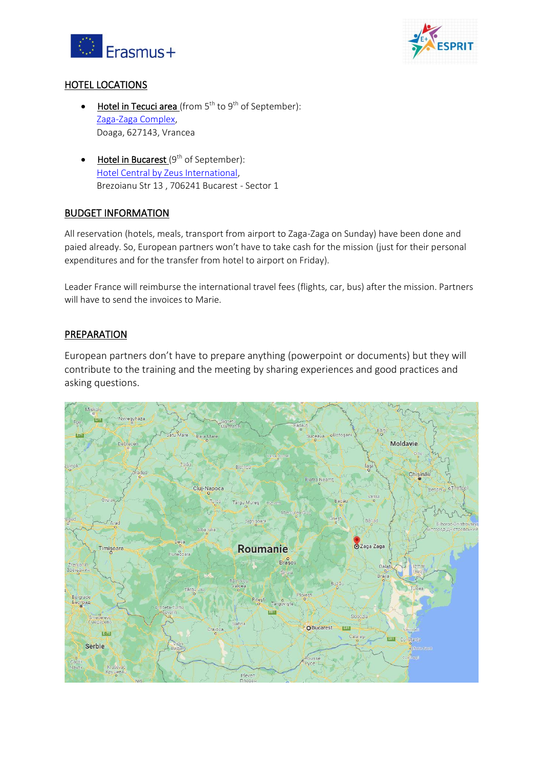



### HOTEL LOCATIONS

- Hotel in Tecuci area (from  $5<sup>th</sup>$  to  $9<sup>th</sup>$  of September): Zaga-Zaga Complex, Doaga, 627143, Vrancea
- $\bullet$  Hotel in Bucarest (9<sup>th</sup> of September): Hotel Central by Zeus International, Brezoianu Str 13 , 706241 Bucarest - Sector 1

### BUDGET INFORMATION

All reservation (hotels, meals, transport from airport to Zaga-Zaga on Sunday) have been done and paied already. So, European partners won't have to take cash for the mission (just for their personal expenditures and for the transfer from hotel to airport on Friday).

Leader France will reimburse the international travel fees (flights, car, bus) after the mission. Partners will have to send the invoices to Marie.

#### **PREPARATION**

European partners don't have to prepare anything (powerpoint or documents) but they will contribute to the training and the meeting by sharing experiences and good practices and asking questions.

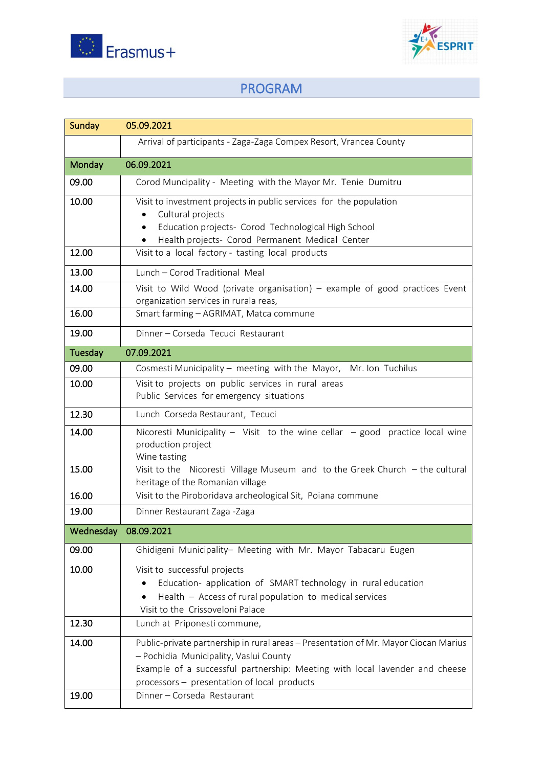



# PROGRAM

| Sunday        | 05.09.2021                                                                                                                                                                                                                                                  |
|---------------|-------------------------------------------------------------------------------------------------------------------------------------------------------------------------------------------------------------------------------------------------------------|
|               | Arrival of participants - Zaga-Zaga Compex Resort, Vrancea County                                                                                                                                                                                           |
| <b>Monday</b> | 06.09.2021                                                                                                                                                                                                                                                  |
| 09.00         | Corod Muncipality - Meeting with the Mayor Mr. Tenie Dumitru                                                                                                                                                                                                |
| 10.00         | Visit to investment projects in public services for the population<br>Cultural projects<br>Education projects- Corod Technological High School<br>$\bullet$<br>Health projects- Corod Permanent Medical Center<br>$\bullet$                                 |
| 12.00         | Visit to a local factory - tasting local products                                                                                                                                                                                                           |
| 13.00         | Lunch - Corod Traditional Meal                                                                                                                                                                                                                              |
| 14.00         | Visit to Wild Wood (private organisation) – example of good practices Event<br>organization services in rurala reas,                                                                                                                                        |
| 16.00         | Smart farming - AGRIMAT, Matca commune                                                                                                                                                                                                                      |
| 19.00         | Dinner - Corseda Tecuci Restaurant                                                                                                                                                                                                                          |
| Tuesday       | 07.09.2021                                                                                                                                                                                                                                                  |
| 09.00         | Cosmesti Municipality - meeting with the Mayor, Mr. Ion Tuchilus                                                                                                                                                                                            |
| 10.00         | Visit to projects on public services in rural areas<br>Public Services for emergency situations                                                                                                                                                             |
| 12.30         | Lunch Corseda Restaurant, Tecuci                                                                                                                                                                                                                            |
| 14.00         | Nicoresti Municipality - Visit to the wine cellar $-$ good practice local wine<br>production project<br>Wine tasting                                                                                                                                        |
| 15.00         | Visit to the Nicoresti Village Museum and to the Greek Church - the cultural<br>heritage of the Romanian village                                                                                                                                            |
| 16.00         | Visit to the Piroboridava archeological Sit, Poiana commune                                                                                                                                                                                                 |
| 19.00         | Dinner Restaurant Zaga -Zaga                                                                                                                                                                                                                                |
| Wednesday     | 08.09.2021                                                                                                                                                                                                                                                  |
| 09.00         | Ghidigeni Municipality- Meeting with Mr. Mayor Tabacaru Eugen                                                                                                                                                                                               |
| 10.00         | Visit to successful projects<br>Education- application of SMART technology in rural education<br>Health - Access of rural population to medical services<br>Visit to the Crissoveloni Palace                                                                |
| 12.30         | Lunch at Priponesti commune,                                                                                                                                                                                                                                |
| 14.00         | Public-private partnership in rural areas - Presentation of Mr. Mayor Ciocan Marius<br>- Pochidia Municipality, Vaslui County<br>Example of a successful partnership: Meeting with local lavender and cheese<br>processors - presentation of local products |
| 19.00         | Dinner - Corseda Restaurant                                                                                                                                                                                                                                 |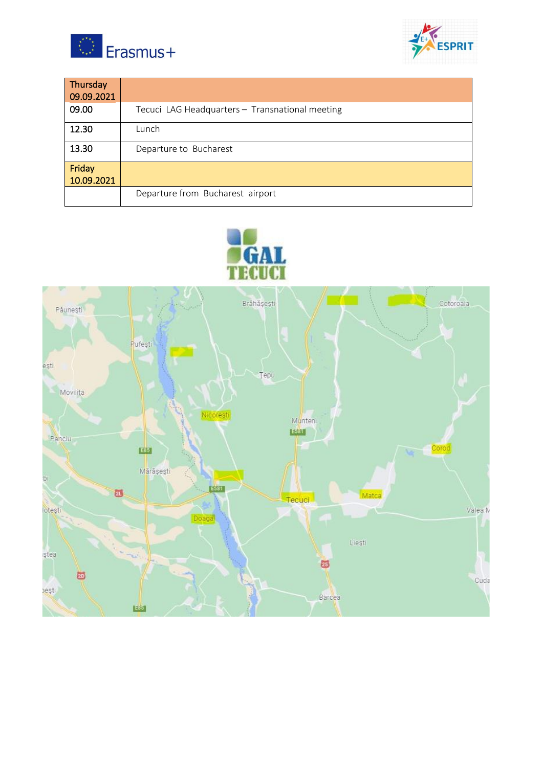



| Thursday<br> 09.09.2021 |                                                 |
|-------------------------|-------------------------------------------------|
| 09.00                   | Tecuci LAG Headquarters - Transnational meeting |
| 12.30                   | Lunch                                           |
| 13.30                   | Departure to Bucharest                          |
| Friday<br>10.09.2021    |                                                 |
|                         | Departure from Bucharest airport                |



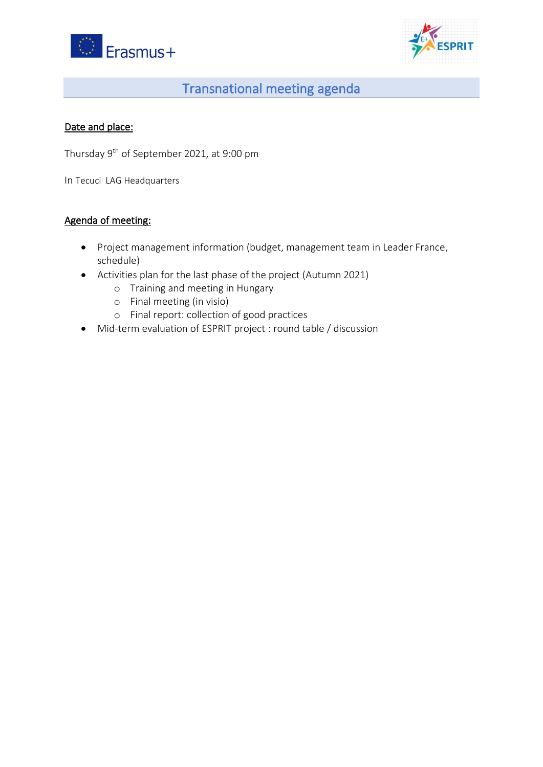



# Transnational meeting agenda

## Date and place:

Thursday 9th of September 2021, at 9:00 pm

In Tecuci LAG Headquarters

## Agenda of meeting:

- Project management information (budget, management team in Leader France, schedule)
- Activities plan for the last phase of the project (Autumn 2021)
	- o Training and meeting in Hungary
	- o Final meeting (in visio)
	- o Final report: collection of good practices
- Mid-term evaluation of ESPRIT project : round table / discussion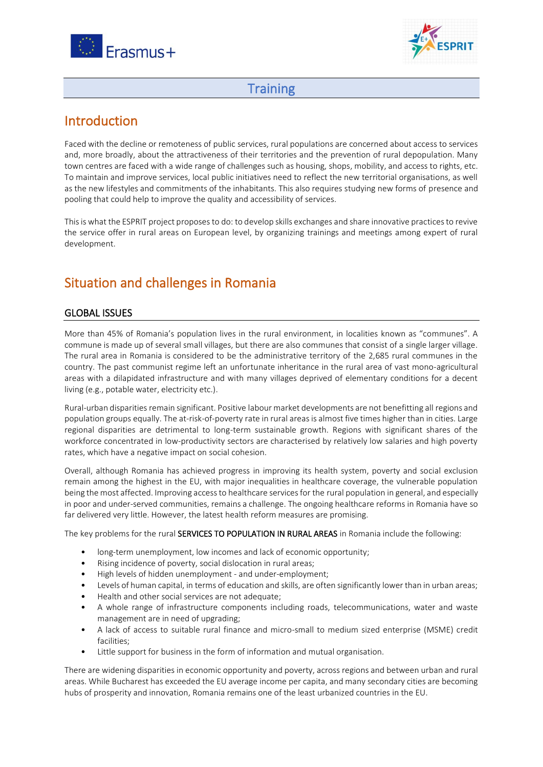



## **Training**

## Introduction

Faced with the decline or remoteness of public services, rural populations are concerned about access to services and, more broadly, about the attractiveness of their territories and the prevention of rural depopulation. Many town centres are faced with a wide range of challenges such as housing, shops, mobility, and access to rights, etc. To maintain and improve services, local public initiatives need to reflect the new territorial organisations, as well as the new lifestyles and commitments of the inhabitants. This also requires studying new forms of presence and pooling that could help to improve the quality and accessibility of services.

This is what the ESPRIT project proposes to do: to develop skills exchanges and share innovative practices to revive the service offer in rural areas on European level, by organizing trainings and meetings among expert of rural development.

## Situation and challenges in Romania

### GLOBAL ISSUES

More than 45% of Romania's population lives in the rural environment, in localities known as "communes". A commune is made up of several small villages, but there are also communes that consist of a single larger village. The rural area in Romania is considered to be the administrative territory of the 2,685 rural communes in the country. The past communist regime left an unfortunate inheritance in the rural area of vast mono-agricultural areas with a dilapidated infrastructure and with many villages deprived of elementary conditions for a decent living (e.g., potable water, electricity etc.).

Rural-urban disparities remain significant. Positive labour market developments are not benefitting all regions and population groups equally. The at-risk-of-poverty rate in rural areas is almost five times higher than in cities. Large regional disparities are detrimental to long-term sustainable growth. Regions with significant shares of the workforce concentrated in low-productivity sectors are characterised by relatively low salaries and high poverty rates, which have a negative impact on social cohesion.

Overall, although Romania has achieved progress in improving its health system, poverty and social exclusion remain among the highest in the EU, with major inequalities in healthcare coverage, the vulnerable population being the most affected. Improving access to healthcare services for the rural population in general, and especially in poor and under-served communities, remains a challenge. The ongoing healthcare reforms in Romania have so far delivered very little. However, the latest health reform measures are promising.

The key problems for the rural SERVICES TO POPULATION IN RURAL AREAS in Romania include the following:

- long-term unemployment, low incomes and lack of economic opportunity;
- Rising incidence of poverty, social dislocation in rural areas;
- High levels of hidden unemployment and under-employment;
- Levels of human capital, in terms of education and skills, are often significantly lower than in urban areas;
- Health and other social services are not adequate;
- A whole range of infrastructure components including roads, telecommunications, water and waste management are in need of upgrading;
- A lack of access to suitable rural finance and micro-small to medium sized enterprise (MSME) credit facilities;
- Little support for business in the form of information and mutual organisation.

There are widening disparities in economic opportunity and poverty, across regions and between urban and rural areas. While Bucharest has exceeded the EU average income per capita, and many secondary cities are becoming hubs of prosperity and innovation, Romania remains one of the least urbanized countries in the EU.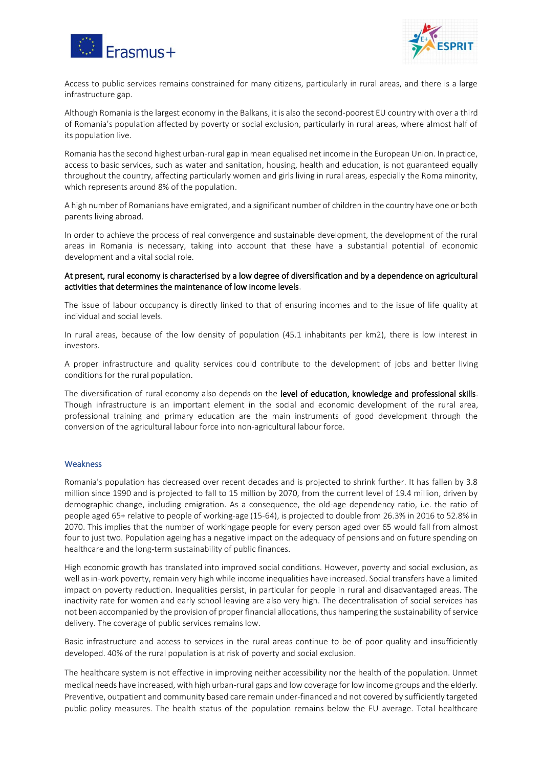



Access to public services remains constrained for many citizens, particularly in rural areas, and there is a large infrastructure gap.

Although Romania is the largest economy in the Balkans, it is also the second-poorest EU country with over a third of Romania's population affected by poverty or social exclusion, particularly in rural areas, where almost half of its population live.

Romania has the second highest urban-rural gap in mean equalised net income in the European Union. In practice, access to basic services, such as water and sanitation, housing, health and education, is not guaranteed equally throughout the country, affecting particularly women and girls living in rural areas, especially the Roma minority, which represents around 8% of the population.

A high number of Romanians have emigrated, and a significant number of children in the country have one or both parents living abroad.

In order to achieve the process of real convergence and sustainable development, the development of the rural areas in Romania is necessary, taking into account that these have a substantial potential of economic development and a vital social role.

#### At present, rural economy is characterised by a low degree of diversification and by a dependence on agricultural activities that determines the maintenance of low income levels.

The issue of labour occupancy is directly linked to that of ensuring incomes and to the issue of life quality at individual and social levels.

In rural areas, because of the low density of population (45.1 inhabitants per km2), there is low interest in investors.

A proper infrastructure and quality services could contribute to the development of jobs and better living conditions for the rural population.

The diversification of rural economy also depends on the level of education, knowledge and professional skills. Though infrastructure is an important element in the social and economic development of the rural area, professional training and primary education are the main instruments of good development through the conversion of the agricultural labour force into non-agricultural labour force.

#### **Weakness**

Romania's population has decreased over recent decades and is projected to shrink further. It has fallen by 3.8 million since 1990 and is projected to fall to 15 million by 2070, from the current level of 19.4 million, driven by demographic change, including emigration. As a consequence, the old-age dependency ratio, i.e. the ratio of people aged 65+ relative to people of working-age (15-64), is projected to double from 26.3% in 2016 to 52.8% in 2070. This implies that the number of workingage people for every person aged over 65 would fall from almost four to just two. Population ageing has a negative impact on the adequacy of pensions and on future spending on healthcare and the long-term sustainability of public finances.

High economic growth has translated into improved social conditions. However, poverty and social exclusion, as well as in-work poverty, remain very high while income inequalities have increased. Social transfers have a limited impact on poverty reduction. Inequalities persist, in particular for people in rural and disadvantaged areas. The inactivity rate for women and early school leaving are also very high. The decentralisation of social services has not been accompanied by the provision of proper financial allocations, thus hampering the sustainability of service delivery. The coverage of public services remains low.

Basic infrastructure and access to services in the rural areas continue to be of poor quality and insufficiently developed. 40% of the rural population is at risk of poverty and social exclusion.

The healthcare system is not effective in improving neither accessibility nor the health of the population. Unmet medical needs have increased, with high urban-rural gaps and low coverage for low income groups and the elderly. Preventive, outpatient and community based care remain under-financed and not covered by sufficiently targeted public policy measures. The health status of the population remains below the EU average. Total healthcare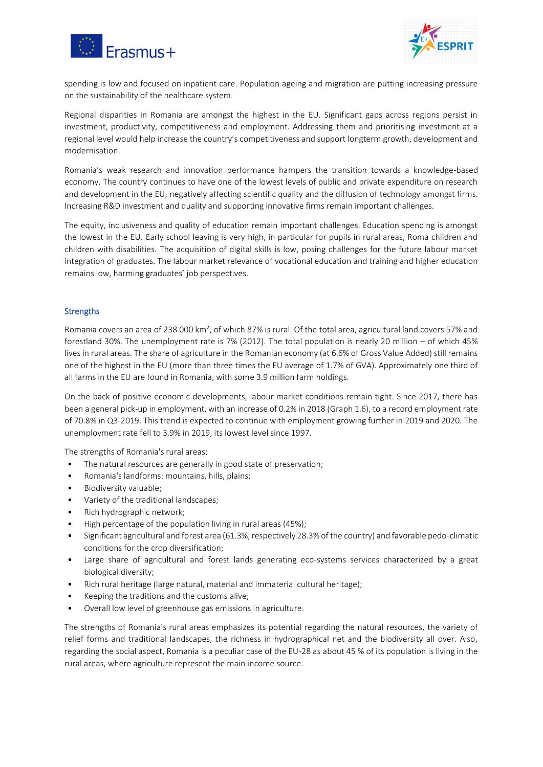



spending is low and focused on inpatient care. Population ageing and migration are putting increasing pressure on the sustainability of the healthcare system.

Regional disparities in Romania are amongst the highest in the EU. Significant gaps across regions persist in investment, productivity, competitiveness and employment. Addressing them and prioritising investment at a regional level would help increase the country's competitiveness and support longterm growth, development and modernisation.

Romania's weak research and innovation performance hampers the transition towards a knowledge-based economy. The country continues to have one of the lowest levels of public and private expenditure on research and development in the EU, negatively affecting scientific quality and the diffusion of technology amongst firms. Increasing R&D investment and quality and supporting innovative firms remain important challenges.

The equity, inclusiveness and quality of education remain important challenges. Education spending is amongst the lowest in the EU. Early school leaving is very high, in particular for pupils in rural areas, Roma children and children with disabilities. The acquisition of digital skills is low, posing challenges for the future labour market integration of graduates. The labour market relevance of vocational education and training and higher education remains low, harming graduates' job perspectives.

#### **Strengths**

Romania covers an area of 238 000 km², of which 87% is rural. Of the total area, agricultural land covers 57% and forestland 30%. The unemployment rate is 7% (2012). The total population is nearly 20 million  $-$  of which 45% lives in rural areas. The share of agriculture in the Romanian economy (at 6.6% of Gross Value Added) still remains one of the highest in the EU (more than three times the EU average of 1.7% of GVA). Approximately one third of all farms in the EU are found in Romania, with some 3.9 million farm holdings.

On the back of positive economic developments, labour market conditions remain tight. Since 2017, there has been a general pick-up in employment, with an increase of 0.2% in 2018 (Graph 1.6), to a record employment rate of 70.8% in Q3-2019. This trend is expected to continue with employment growing further in 2019 and 2020. The unemployment rate fell to 3.9% in 2019, its lowest level since 1997.

The strengths of Romania's rural areas:

- The natural resources are generally in good state of preservation;
- Romania's landforms: mountains, hills, plains;
- Biodiversity valuable;
- Variety of the traditional landscapes;
- Rich hydrographic network;
- High percentage of the population living in rural areas (45%);
- Significant agricultural and forest area (61.3%, respectively 28.3% of the country) and favorable pedo-climatic conditions for the crop diversification;
- Large share of agricultural and forest lands generating eco-systems services characterized by a great biological diversity;
- Rich rural heritage (large natural, material and immaterial cultural heritage);
- Keeping the traditions and the customs alive;
- Overall low level of greenhouse gas emissions in agriculture.

The strengths of Romania's rural areas emphasizes its potential regarding the natural resources, the variety of relief forms and traditional landscapes, the richness in hydrographical net and the biodiversity all over. Also, regarding the social aspect, Romania is a peculiar case of the EU-28 as about 45 % of its population is living in the rural areas, where agriculture represent the main income source.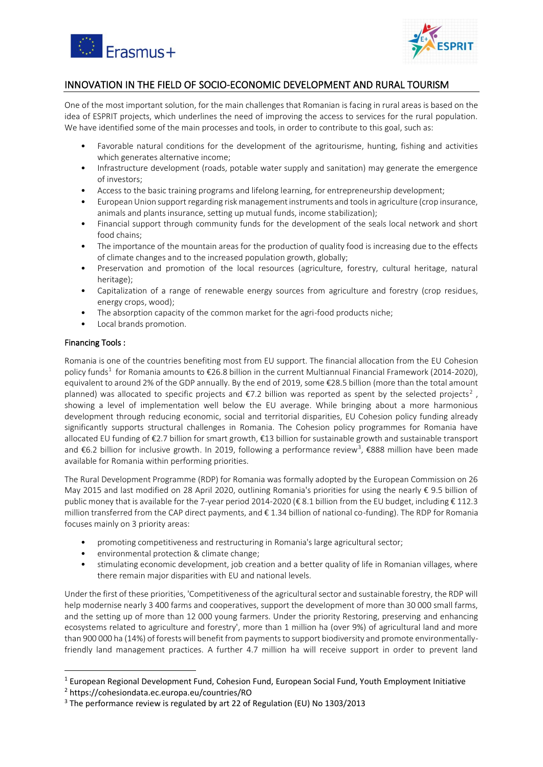



#### INNOVATION IN THE FIELD OF SOCIO-ECONOMIC DEVELOPMENT AND RURAL TOURISM

One of the most important solution, for the main challenges that Romanian is facing in rural areas is based on the idea of ESPRIT projects, which underlines the need of improving the access to services for the rural population. We have identified some of the main processes and tools, in order to contribute to this goal, such as:

- Favorable natural conditions for the development of the agritourisme, hunting, fishing and activities which generates alternative income;
- Infrastructure development (roads, potable water supply and sanitation) may generate the emergence of investors;
- Access to the basic training programs and lifelong learning, for entrepreneurship development;
- European Union support regarding risk management instruments and tools in agriculture (crop insurance, animals and plants insurance, setting up mutual funds, income stabilization);
- Financial support through community funds for the development of the seals local network and short food chains;
- The importance of the mountain areas for the production of quality food is increasing due to the effects of climate changes and to the increased population growth, globally;
- Preservation and promotion of the local resources (agriculture, forestry, cultural heritage, natural heritage);
- Capitalization of a range of renewable energy sources from agriculture and forestry (crop residues, energy crops, wood);
- The absorption capacity of the common market for the agri-food products niche;
- Local brands promotion.

#### Financing Tools :

Romania is one of the countries benefiting most from EU support. The financial allocation from the EU Cohesion policy funds<sup>1</sup> for Romania amounts to €26.8 billion in the current Multiannual Financial Framework (2014-2020), equivalent to around 2% of the GDP annually. By the end of 2019, some €28.5 billion (more than the total amount planned) was allocated to specific projects and  $\epsilon$ 7.2 billion was reported as spent by the selected projects<sup>2</sup>, showing a level of implementation well below the EU average. While bringing about a more harmonious development through reducing economic, social and territorial disparities, EU Cohesion policy funding already significantly supports structural challenges in Romania. The Cohesion policy programmes for Romania have allocated EU funding of €2.7 billion for smart growth, €13 billion for sustainable growth and sustainable transport and €6.2 billion for inclusive growth. In 2019, following a performance review<sup>3</sup>, €888 million have been made available for Romania within performing priorities.

The Rural Development Programme (RDP) for Romania was formally adopted by the European Commission on 26 May 2015 and last modified on 28 April 2020, outlining Romania's priorities for using the nearly € 9.5 billion of public money that is available for the 7-year period 2014-2020 (€ 8.1 billion from the EU budget, including € 112.3 million transferred from the CAP direct payments, and € 1.34 billion of national co-funding). The RDP for Romania focuses mainly on 3 priority areas:

- promoting competitiveness and restructuring in Romania's large agricultural sector;
- environmental protection & climate change;
- stimulating economic development, job creation and a better quality of life in Romanian villages, where there remain major disparities with EU and national levels.

Under the first of these priorities, 'Competitiveness of the agricultural sector and sustainable forestry, the RDP will help modernise nearly 3 400 farms and cooperatives, support the development of more than 30 000 small farms, and the setting up of more than 12 000 young farmers. Under the priority Restoring, preserving and enhancing ecosystems related to agriculture and forestry', more than 1 million ha (over 9%) of agricultural land and more than 900 000 ha (14%) of forests will benefit from payments to support biodiversity and promote environmentallyfriendly land management practices. A further 4.7 million ha will receive support in order to prevent land

 $<sup>1</sup>$  European Regional Development Fund, Cohesion Fund, European Social Fund, Youth Employment Initiative</sup>

<sup>2</sup> https://cohesiondata.ec.europa.eu/countries/RO

<sup>&</sup>lt;sup>3</sup> The performance review is regulated by art 22 of Regulation (EU) No 1303/2013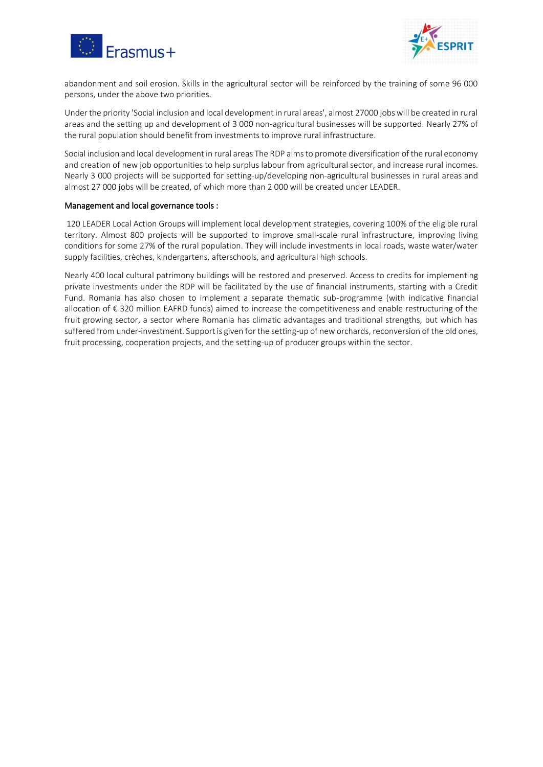



abandonment and soil erosion. Skills in the agricultural sector will be reinforced by the training of some 96 000 persons, under the above two priorities.

Under the priority 'Social inclusion and local development in rural areas', almost 27000 jobs will be created in rural areas and the setting up and development of 3 000 non-agricultural businesses will be supported. Nearly 27% of the rural population should benefit from investments to improve rural infrastructure.

Social inclusion and local development in rural areas The RDP aims to promote diversification of the rural economy and creation of new job opportunities to help surplus labour from agricultural sector, and increase rural incomes. Nearly 3 000 projects will be supported for setting-up/developing non-agricultural businesses in rural areas and almost 27 000 jobs will be created, of which more than 2 000 will be created under LEADER.

#### Management and local governance tools :

120 LEADER Local Action Groups will implement local development strategies, covering 100% of the eligible rural territory. Almost 800 projects will be supported to improve small-scale rural infrastructure, improving living conditions for some 27% of the rural population. They will include investments in local roads, waste water/water supply facilities, crèches, kindergartens, afterschools, and agricultural high schools.

Nearly 400 local cultural patrimony buildings will be restored and preserved. Access to credits for implementing private investments under the RDP will be facilitated by the use of financial instruments, starting with a Credit Fund. Romania has also chosen to implement a separate thematic sub-programme (with indicative financial allocation of € 320 million EAFRD funds) aimed to increase the competitiveness and enable restructuring of the fruit growing sector, a sector where Romania has climatic advantages and traditional strengths, but which has suffered from under-investment. Support is given for the setting-up of new orchards, reconversion of the old ones, fruit processing, cooperation projects, and the setting-up of producer groups within the sector.